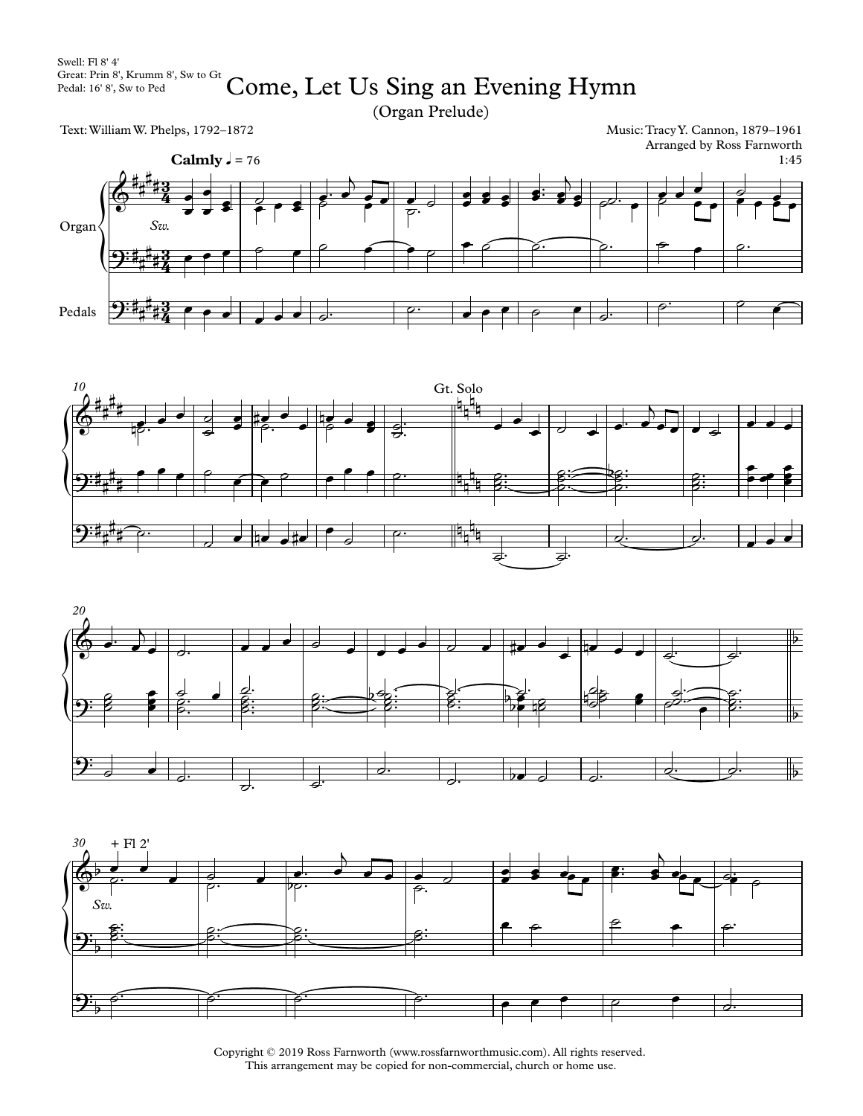(Organ Prelude)

Text:WilliamW. Phelps, 1792–1872

Music:TracyY. Cannon, 1879–1961 Arranged by Ross Farnworth









Copyright © 2019 Ross Farnworth (www.rossfarnworthmusic.com). All rights reserved. This arrangement may be copied for non-commercial, church or home use.